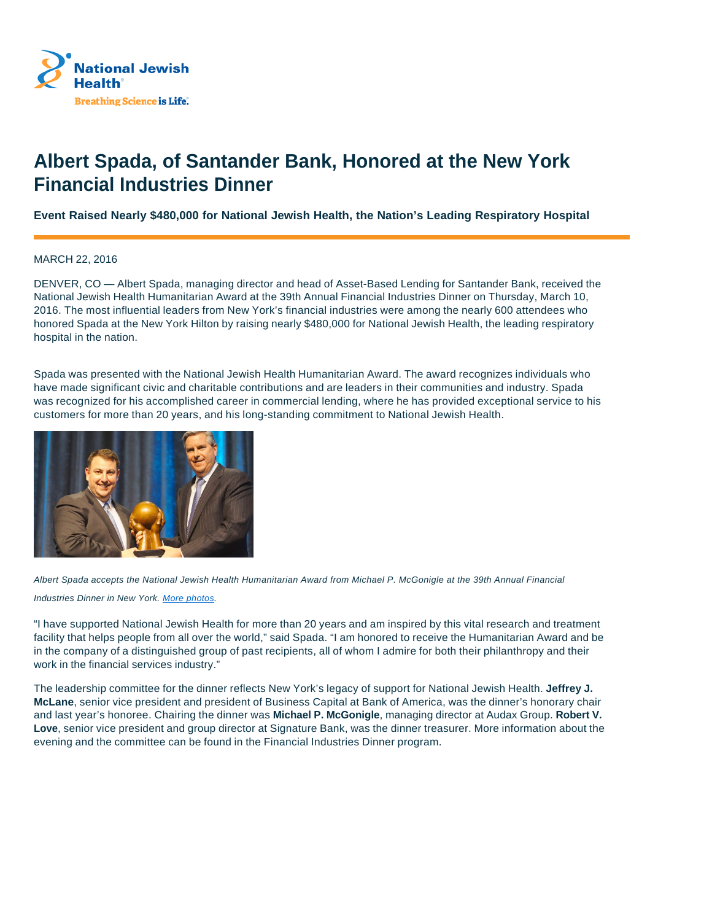

## **Albert Spada, of Santander Bank, Honored at the New York Financial Industries Dinner**

## **Event Raised Nearly \$480,000 for National Jewish Health, the Nation's Leading Respiratory Hospital**

## MARCH 22, 2016

DENVER, CO — Albert Spada, managing director and head of Asset-Based Lending for Santander Bank, received the National Jewish Health Humanitarian Award at the 39th Annual Financial Industries Dinner on Thursday, March 10, 2016. The most influential leaders from New York's financial industries were among the nearly 600 attendees who honored Spada at the New York Hilton by raising nearly \$480,000 for National Jewish Health, the leading respiratory hospital in the nation.

Spada was presented with the National Jewish Health Humanitarian Award. The award recognizes individuals who have made significant civic and charitable contributions and are leaders in their communities and industry. Spada was recognized for his accomplished career in commercial lending, where he has provided exceptional service to his customers for more than 20 years, and his long-standing commitment to National Jewish Health.



Albert Spada accepts the National Jewish Health Humanitarian Award from Michael P. McGonigle at the 39th Annual Financial

Industries Dinner in New York. More photos.

"I have supported National Jewish Health for more than 20 years and am inspired by this vital research and treatment facility that helps people from all over the world," said Spada. "I am honored to receive the Humanitarian Award and be in the company of a distinguished group of past recipients, all of whom I admire for both their philanthropy and their work in the financial services industry."

The leadership committee for the dinner reflects New York's legacy of support for National Jewish Health. **Jeffrey J. McLane**, senior vice president and president of Business Capital at Bank of America, was the dinner's honorary chair and last year's honoree. Chairing the dinner was **Michael P. McGonigle**, managing director at Audax Group. **Robert V. Love**, senior vice president and group director at Signature Bank, was the dinner treasurer. More information about the evening and the committee can be found in the Financial Industries Dinner program.